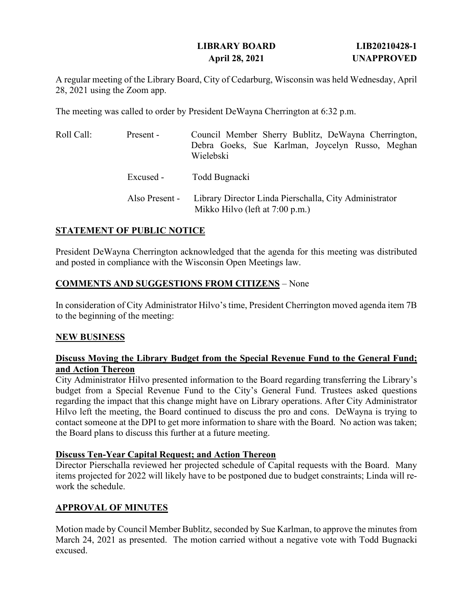# **LIBRARY BOARD LIB20210428-1 April 28, 2021 UNAPPROVED**

A regular meeting of the Library Board, City of Cedarburg, Wisconsin was held Wednesday, April 28, 2021 using the Zoom app.

The meeting was called to order by President DeWayna Cherrington at 6:32 p.m.

| Roll Call: | Present -      | Council Member Sherry Bublitz, DeWayna Cherrington,<br>Debra Goeks, Sue Karlman, Joycelyn Russo, Meghan<br>Wielebski |
|------------|----------------|----------------------------------------------------------------------------------------------------------------------|
|            | Excused -      | Todd Bugnacki                                                                                                        |
|            | Also Present - | Library Director Linda Pierschalla, City Administrator<br>Mikko Hilvo (left at 7:00 p.m.)                            |

## **STATEMENT OF PUBLIC NOTICE**

President DeWayna Cherrington acknowledged that the agenda for this meeting was distributed and posted in compliance with the Wisconsin Open Meetings law.

## **COMMENTS AND SUGGESTIONS FROM CITIZENS** – None

In consideration of City Administrator Hilvo's time, President Cherrington moved agenda item 7B to the beginning of the meeting:

#### **NEW BUSINESS**

#### **Discuss Moving the Library Budget from the Special Revenue Fund to the General Fund; and Action Thereon**

City Administrator Hilvo presented information to the Board regarding transferring the Library's budget from a Special Revenue Fund to the City's General Fund. Trustees asked questions regarding the impact that this change might have on Library operations. After City Administrator Hilvo left the meeting, the Board continued to discuss the pro and cons. DeWayna is trying to contact someone at the DPI to get more information to share with the Board. No action was taken; the Board plans to discuss this further at a future meeting.

#### **Discuss Ten-Year Capital Request; and Action Thereon**

Director Pierschalla reviewed her projected schedule of Capital requests with the Board. Many items projected for 2022 will likely have to be postponed due to budget constraints; Linda will rework the schedule.

## **APPROVAL OF MINUTES**

Motion made by Council Member Bublitz, seconded by Sue Karlman, to approve the minutes from March 24, 2021 as presented. The motion carried without a negative vote with Todd Bugnacki excused.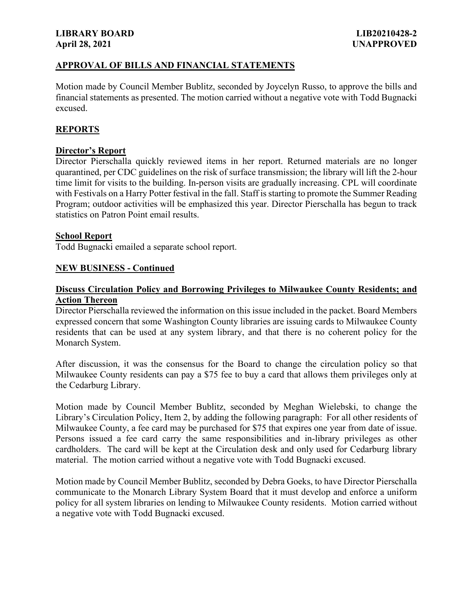#### **LIBRARY BOARD LIB20210428-2 April 28, 2021 UNAPPROVED**

## **APPROVAL OF BILLS AND FINANCIAL STATEMENTS**

Motion made by Council Member Bublitz, seconded by Joycelyn Russo, to approve the bills and financial statements as presented. The motion carried without a negative vote with Todd Bugnacki excused.

# **REPORTS**

### **Director's Report**

Director Pierschalla quickly reviewed items in her report. Returned materials are no longer quarantined, per CDC guidelines on the risk of surface transmission; the library will lift the 2-hour time limit for visits to the building. In-person visits are gradually increasing. CPL will coordinate with Festivals on a Harry Potter festival in the fall. Staff is starting to promote the Summer Reading Program; outdoor activities will be emphasized this year. Director Pierschalla has begun to track statistics on Patron Point email results.

#### **School Report**

Todd Bugnacki emailed a separate school report.

#### **NEW BUSINESS - Continued**

#### **Discuss Circulation Policy and Borrowing Privileges to Milwaukee County Residents; and Action Thereon**

Director Pierschalla reviewed the information on this issue included in the packet. Board Members expressed concern that some Washington County libraries are issuing cards to Milwaukee County residents that can be used at any system library, and that there is no coherent policy for the Monarch System.

After discussion, it was the consensus for the Board to change the circulation policy so that Milwaukee County residents can pay a \$75 fee to buy a card that allows them privileges only at the Cedarburg Library.

Motion made by Council Member Bublitz, seconded by Meghan Wielebski, to change the Library's Circulation Policy, Item 2, by adding the following paragraph: For all other residents of Milwaukee County, a fee card may be purchased for \$75 that expires one year from date of issue. Persons issued a fee card carry the same responsibilities and in-library privileges as other cardholders. The card will be kept at the Circulation desk and only used for Cedarburg library material. The motion carried without a negative vote with Todd Bugnacki excused.

Motion made by Council Member Bublitz, seconded by Debra Goeks, to have Director Pierschalla communicate to the Monarch Library System Board that it must develop and enforce a uniform policy for all system libraries on lending to Milwaukee County residents. Motion carried without a negative vote with Todd Bugnacki excused.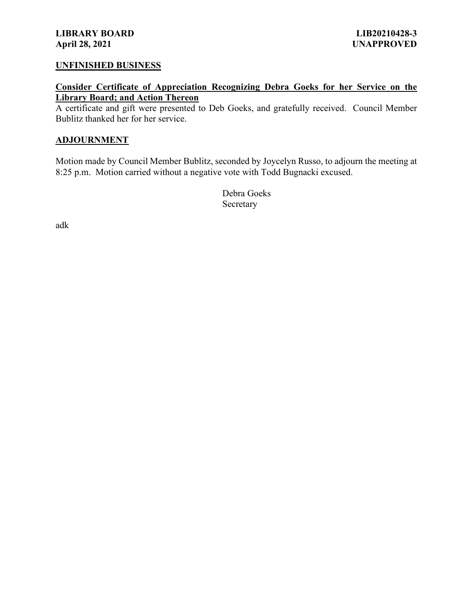#### **UNFINISHED BUSINESS**

**Consider Certificate of Appreciation Recognizing Debra Goeks for her Service on the Library Board; and Action Thereon**

A certificate and gift were presented to Deb Goeks, and gratefully received. Council Member Bublitz thanked her for her service.

#### **ADJOURNMENT**

Motion made by Council Member Bublitz, seconded by Joycelyn Russo, to adjourn the meeting at 8:25 p.m. Motion carried without a negative vote with Todd Bugnacki excused.

> Debra Goeks Secretary

adk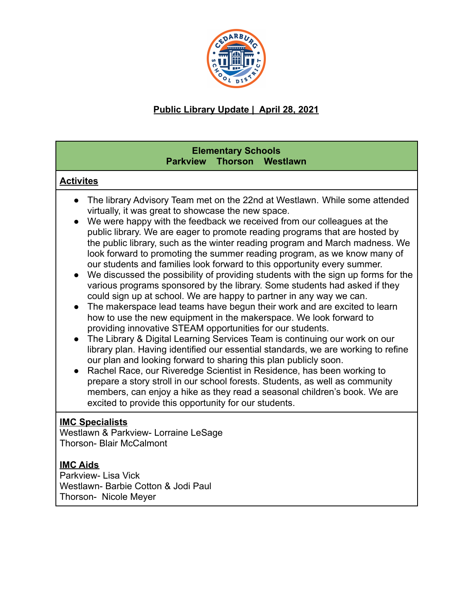

# **Public Library Update | April 28, 2021**

# **Elementary Schools Parkview Thorson Westlawn**

# **Activites**

- The library Advisory Team met on the 22nd at Westlawn. While some attended virtually, it was great to showcase the new space.
- We were happy with the feedback we received from our colleagues at the public library. We are eager to promote reading programs that are hosted by the public library, such as the winter reading program and March madness. We look forward to promoting the summer reading program, as we know many of our students and families look forward to this opportunity every summer.
- We discussed the possibility of providing students with the sign up forms for the various programs sponsored by the library. Some students had asked if they could sign up at school. We are happy to partner in any way we can.
- The makerspace lead teams have begun their work and are excited to learn how to use the new equipment in the makerspace. We look forward to providing innovative STEAM opportunities for our students.
- The Library & Digital Learning Services Team is continuing our work on our library plan. Having identified our essential standards, we are working to refine our plan and looking forward to sharing this plan publicly soon.
- Rachel Race, our Riveredge Scientist in Residence, has been working to prepare a story stroll in our school forests. Students, as well as community members, can enjoy a hike as they read a seasonal children's book. We are excited to provide this opportunity for our students.

# **IMC Specialists**

Westlawn & Parkview- Lorraine LeSage Thorson- Blair McCalmont

# **IMC Aids**

Parkview- Lisa Vick Westlawn- Barbie Cotton & Jodi Paul Thorson- Nicole Meyer